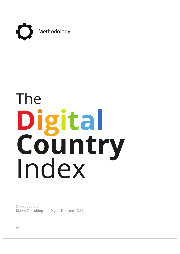

# The Digital<br>Country<br>Index

Developed by: Bloom Consulting and Digital Demand - D2©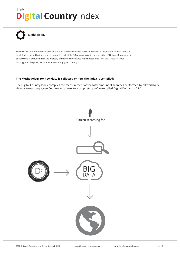

The objective of this Index is to provide the least subjective results possible. Therefore, the position of each Country is solely determined by their search volume in each of the 5 Dimensions (with the exception of National Prominence). Social Media is excluded from the analysis, as this Index measures the "consequence", not the "cause" of what has triggered the proactive interest towards any given Country.

## **The Methodology (or how data is collected or how the Index is compiled)**

The Digital Country Index compiles the measurement of the total amount of searches performed by all worldwide citizens toward any given Country. All thanks to a proprietary software called Digital Demand - D2©.

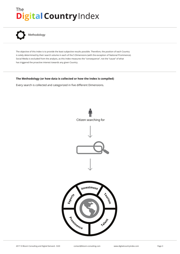

The objective of this Index is to provide the least subjective results possible. Therefore, the position of each Country is solely determined by their search volume in each of the 5 Dimensions (with the exception of National Prominence). Social Media is excluded from the analysis, as this Index measures the "consequence", not the "cause" of what has triggered the proactive interest towards any given Country.

## **The Methodology (or how data is collected or how the Index is compiled)**

Every search is collected and categorized in five different Dimensions.

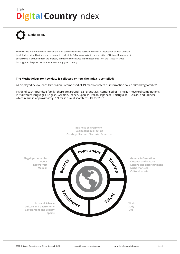

The objective of this Index is to provide the least subjective results possible. Therefore, the position of each Country is solely determined by their search volume in each of the 5 Dimensions (with the exception of National Prominence). Social Media is excluded from the analysis, as this Index measures the "consequence", not the "cause" of what has triggered the proactive interest towards any given Country.

## **The Methodology (or how data is collected or how the Index is compiled)**

As displayed below, each Dimension is comprised of 19 macro clusters of information called "Brandtag families".

Inside of each "Brandtag family" there are around 132 "Brandtags" comprised of 44 million keyword combinations in 9 different languages (English, German, French, Spanish, Italian, Japanese, Portuguese, Russian, and Chinese), which result in approximately 799 million valid search results for 2016.



**Business Environment - Socioeconomic Factors - Strategic Sectors /Sectorial Expertise**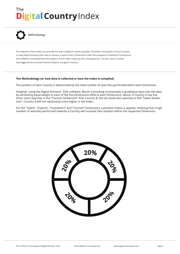

The objective of this Index is to provide the least subjective results possible. Therefore, the position of each Country is solely determined by their search volume in each of the 5 Dimensions (with the exception of National Prominence). Social Media is excluded from the analysis, as this Index measures the "consequence", not the "cause" of what has triggered the proactive interest towards any given Country.

## **The Methodology (or how data is collected or how the Index is compiled)**

The position of each Country is determined by the total number of searches performed within each Dimension.

However, using the Digital Demand - D2© software, Bloom Consulting incorporates a qualitative input into the data by attributing equal weight to each of the five Dimensions (20% to each Dimension). Hence, if Country A has five times more searches in the "Tourism Dimension" than Country B, but ten times less searches in the" Talent Dimension", Country A will not necessarily score higher in the Index.

For the "Talent", "Exports", "Investment" and "Tourism" Dimensions a positive criteria is applied, meaning that a high number of searches performed towards a Country will increase their position within the respective Dimension.

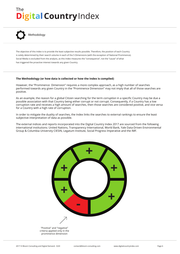

The objective of this Index is to provide the least subjective results possible. Therefore, the position of each Country is solely determined by their search volume in each of the 5 Dimensions (with the exception of National Prominence). Social Media is excluded from the analysis, as this Index measures the "consequence", not the "cause" of what has triggered the proactive interest towards any given Country.

#### **The Methodology (or how data is collected or how the Index is compiled)**

However, the "Prominence Dimension" requires a more complex approach, as a high number of searches performed towards any given Country in the "Prominence Dimension" may not imply that all of those searches are positive.

As an example, the reason for a global Citizen searching for the term *corruption* in a specific Country may be due a possible association with that Country being either corrupt or not corrupt. Consequently, if a Country has a low corruption rate and receives a high amount of searches, then those searches are considered positive, and vice versa for a Country with a high rate of corruption.

In order to mitigate the duality of searches, the Index links the searches to external rankings to ensure the least subjective interpretation of data as possible.

The external indices and reports incorporated into the Digital Country Index 2017 are sourced from the following international institutions: United Nations, Transparency International, World Bank, Yale Data-Driven Environmental Group & Columbia University CIESIN, Legatum Institute, Social Progress Imperative and the IMF.